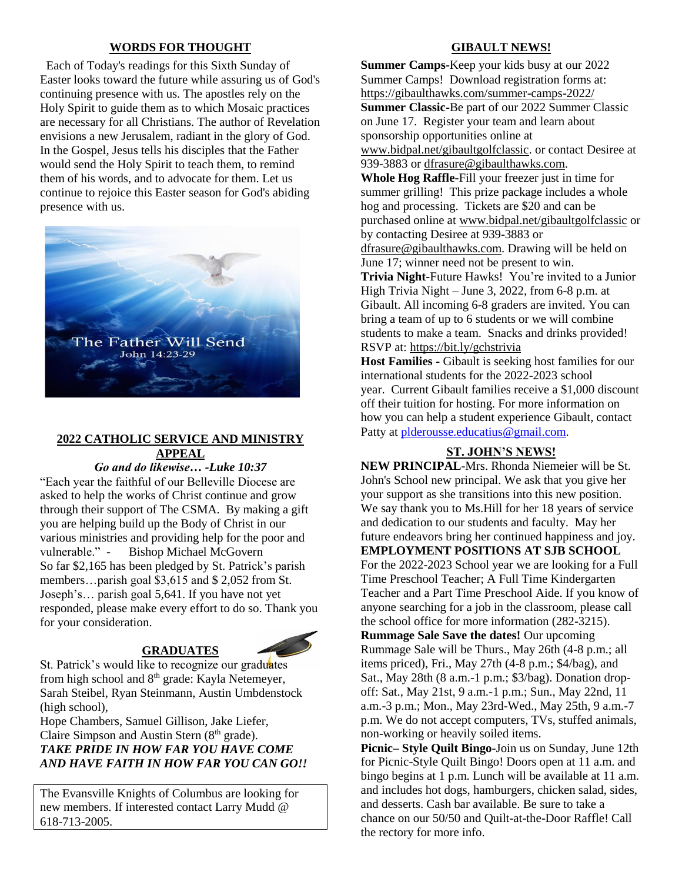#### **WORDS FOR THOUGHT**

 Each of Today's readings for this Sixth Sunday of Easter looks toward the future while assuring us of God's continuing presence with us. The apostles rely on the Holy Spirit to guide them as to which Mosaic practices are necessary for all Christians. The author of Revelation envisions a new Jerusalem, radiant in the glory of God. In the Gospel, Jesus tells his disciples that the Father would send the Holy Spirit to teach them, to remind them of his words, and to advocate for them. Let us continue to rejoice this Easter season for God's abiding presence with us.



## **2022 CATHOLIC SERVICE AND MINISTRY APPEAL**

*Go and do likewise… -Luke 10:37*

"Each year the faithful of our Belleville Diocese are asked to help the works of Christ continue and grow through their support of The CSMA. By making a gift you are helping build up the Body of Christ in our various ministries and providing help for the poor and vulnerable." - Bishop Michael McGovern So far \$2,165 has been pledged by St. Patrick's parish members…parish goal \$3,615 and \$ 2,052 from St. Joseph's… parish goal 5,641. If you have not yet responded, please make every effort to do so. Thank you for your consideration.

#### **GRADUATES**



St. Patrick's would like to recognize our graduates from high school and 8th grade: Kayla Netemeyer, Sarah Steibel, Ryan Steinmann, Austin Umbdenstock (high school),

Hope Chambers, Samuel Gillison, Jake Liefer, Claire Simpson and Austin Stern  $(8<sup>th</sup> grade)$ . *TAKE PRIDE IN HOW FAR YOU HAVE COME AND HAVE FAITH IN HOW FAR YOU CAN GO!!*

The Evansville Knights of Columbus are looking for new members. If interested contact Larry Mudd @ 618-713-2005.

#### **GIBAULT NEWS!**

**Summer Camps-**Keep your kids busy at our 2022 Summer Camps! Download registration forms at: <https://gibaulthawks.com/summer-camps-2022/> **Summer Classic-**Be part of our 2022 Summer Classic on June 17. Register your team and learn about sponsorship opportunities online at [www.bidpal.net/gibaultgolfclassic.](http://www.bidpal.net/gibaultgolfclassic) or contact Desiree at 939-3883 or [dfrasure@gibaulthawks.com.](mailto:dfrasure@gibaulthawks.com) **Whole Hog Raffle-**Fill your freezer just in time for summer grilling! This prize package includes a whole hog and processing. Tickets are \$20 and can be purchased online at [www.bidpal.net/gibaultgolfclassic](http://www.bidpal.net/gibaultgolfclassic) or by contacting Desiree at 939-3883 or [dfrasure@gibaulthawks.com.](mailto:dfrasure@gibaulthawks.com) Drawing will be held on June 17; winner need not be present to win. **Trivia Night-**Future Hawks! You're invited to a Junior High Trivia Night – June 3, 2022, from 6-8 p.m. at Gibault. All incoming 6-8 graders are invited. You can bring a team of up to 6 students or we will combine students to make a team. Snacks and drinks provided! RSVP at:<https://bit.ly/gchstrivia> **Host Families -** Gibault is seeking host families for our

international students for the 2022-2023 school year. Current Gibault families receive a \$1,000 discount off their tuition for hosting. For more information on how you can help a student experience Gibault, contact Patty at [plderousse.educatius@gmail.com.](mailto:plderousse.educatius@gmail.com)

#### **ST. JOHN'S NEWS!**

**NEW PRINCIPAL**-Mrs. Rhonda Niemeier will be St. John's School new principal. We ask that you give her your support as she transitions into this new position. We say thank you to Ms.Hill for her 18 years of service and dedication to our students and faculty. May her future endeavors bring her continued happiness and joy. **EMPLOYMENT POSITIONS AT SJB SCHOOL** For the 2022-2023 School year we are looking for a Full Time Preschool Teacher; A Full Time Kindergarten Teacher and a Part Time Preschool Aide. If you know of anyone searching for a job in the classroom, please call the school office for more information (282-3215). **Rummage Sale Save the dates!** Our upcoming Rummage Sale will be Thurs., May 26th (4-8 p.m.; all items priced), Fri., May 27th (4-8 p.m.; \$4/bag), and Sat., May 28th (8 a.m.-1 p.m.; \$3/bag). Donation dropoff: Sat., May 21st, 9 a.m.-1 p.m.; Sun., May 22nd, 11 a.m.-3 p.m.; Mon., May 23rd-Wed., May 25th, 9 a.m.-7 p.m. We do not accept computers, TVs, stuffed animals, non-working or heavily soiled items.

**Picnic– Style Quilt Bingo**-Join us on Sunday, June 12th for Picnic-Style Quilt Bingo! Doors open at 11 a.m. and bingo begins at 1 p.m. Lunch will be available at 11 a.m. and includes hot dogs, hamburgers, chicken salad, sides, and desserts. Cash bar available. Be sure to take a chance on our 50/50 and Quilt-at-the-Door Raffle! Call the rectory for more info.